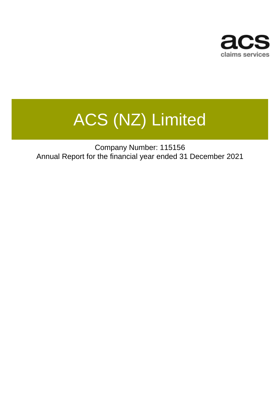

Company Number: 115156 Annual Report for the financial year ended 31 December 2021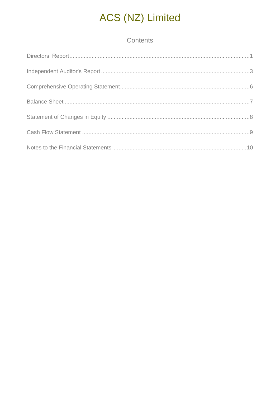### Contents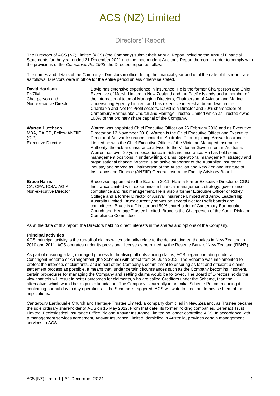### <span id="page-2-0"></span>Directors' Report

The Directors of ACS (NZ) Limited (ACS) (the Company) submit their Annual Report including the Annual Financial Statements for the year ended 31 December 2021 and the Independent Auditor's Report thereon. In order to comply with the provisions of the *Companies Act 1993*, the Directors report as follows:

The names and details of the Company's Directors in office during the financial year and until the date of this report are as follows. Directors were in office for the entire period unless otherwise stated.

| <b>David Harrison</b><br><b>FNZIM</b><br>Chairperson and<br>Non-executive Director        | David has extensive experience in insurance. He is the former Chairperson and Chief<br>Executive of Marsh Limited in New Zealand and the Pacific Islands and a member of<br>the international team of Managing Directors, Chairperson of Aviation and Marine<br>Underwriting Agency Limited, and has extensive interest at board level in the<br>Charitable and Not for Profit sectors. David is a Director and 50% shareholder of<br>Canterbury Earthquake Church and Heritage Trustee Limited which as Trustee owns<br>100% of the ordinary share capital of the Company.                                                                                                                                                                                                                                                                                         |
|-------------------------------------------------------------------------------------------|---------------------------------------------------------------------------------------------------------------------------------------------------------------------------------------------------------------------------------------------------------------------------------------------------------------------------------------------------------------------------------------------------------------------------------------------------------------------------------------------------------------------------------------------------------------------------------------------------------------------------------------------------------------------------------------------------------------------------------------------------------------------------------------------------------------------------------------------------------------------|
| <b>Warren Hutcheon</b><br>MBA, GAICD, Fellow ANZIIF<br>(CIP)<br><b>Executive Director</b> | Warren was appointed Chief Executive Officer on 26 February 2018 and as Executive<br>Director on 12 November 2018. Warren is the Chief Executive Officer and Executive<br>Director of Ansvar Insurance Limited in Australia. Prior to joining Ansvar Insurance<br>Limited he was the Chief Executive Officer of the Victorian Managed Insurance<br>Authority, the risk and insurance advisor to the Victorian Government in Australia.<br>Warren has over 30 years' experience in risk and insurance. He has held senior<br>management positions in underwriting, claims, operational management, strategy and<br>organisational change. Warren is an active supporter of the Australian insurance<br>industry and served as Chairperson of the Australian and New Zealand Institute of<br>Insurance and Finance (ANZIIF) General Insurance Faculty Advisory Board. |
| <b>Bruce Harris</b><br>CA, CPA, ICSA, AGIA<br>Non-executive Director                      | Bruce was appointed to the Board in 2011. He is a former Executive Director of CGU<br>Insurance Limited with experience in financial management, strategy, governance,<br>compliance and risk management. He is also a former Executive Officer of Ridley<br>College and a former Director of Ansvar Insurance Limited and Arrow Leadership<br>Australia Limited. Bruce currently serves on several Not for Profit boards and<br>committees. Bruce is a Director and 50% shareholder of Canterbury Earthquake<br>Church and Heritage Trustee Limited. Bruce is the Chairperson of the Audit, Risk and<br>Compliance Committee.                                                                                                                                                                                                                                      |

As at the date of this report, the Directors held no direct interests in the shares and options of the Company.

#### **Principal activities**

ACS' principal activity is the run-off of claims which primarily relate to the devastating earthquakes in New Zealand in 2010 and 2011. ACS operates under its provisional license as permitted by the Reserve Bank of New Zealand (RBNZ).

As part of ensuring a fair, managed process for finalising all outstanding claims, ACS began operating under a Contingent Scheme of Arrangement (the Scheme) with effect from 20 June 2012. The Scheme was implemented to protect the interests of claimants, and is part of the Company's commitment to ensuring as fast and efficient a claims settlement process as possible. It means that, under certain circumstances such as the Company becoming insolvent, certain procedures for managing the Company and settling claims would be followed. The Board of Directors holds the view that this will result in better outcomes for claimants, who are called Creditors under the Scheme, than the alternative, which would be to go into liquidation. The Company is currently in an Initial Scheme Period, meaning it is continuing normal day to day operations. If the Scheme is triggered, ACS will write to creditors to advise them of the implications.

Canterbury Earthquake Church and Heritage Trustee Limited, a company domiciled in New Zealand, as Trustee became the sole ordinary shareholder of ACS on 15 May 2012. From that date, its former holding companies, Benefact Trust Limited, Ecclesiastical Insurance Office Plc and Ansvar Insurance Limited no longer controlled ACS. In accordance with a management services agreement, Ansvar Insurance Limited, domiciled in Australia, provides certain management services to ACS.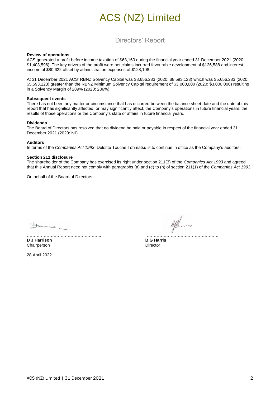Directors' Report

#### **Review of operations**

ACS generated a profit before income taxation of \$63,160 during the financial year ended 31 December 2021 (2020: \$1,403,596). The key drivers of the profit were net claims incurred favourable development of \$126,588 and interest income of \$80,622 offset by administration expenses of \$128,108.

At 31 December 2021 ACS' RBNZ Solvency Capital was \$8,656,283 (2020: \$8,593,123) which was \$5,656,283 (2020: \$5,593,123) greater than the RBNZ Minimum Solvency Capital requirement of \$3,000,000 (2020: \$3,000,000) resulting in a Solvency Margin of 289% (2020: 286%).

#### **Subsequent events**

There has not been any matter or circumstance that has occurred between the balance sheet date and the date of this report that has significantly affected, or may significantly affect, the Company's operations in future financial years, the results of those operations or the Company's state of affairs in future financial years.

#### **Dividends**

The Board of Directors has resolved that no dividend be paid or payable in respect of the financial year ended 31 December 2021 (2020: Nil).

#### **Auditors**

In terms of the *Companies Act 1993*, Deloitte Touche Tohmatsu is to continue in office as the Company's auditors.

#### **Section 211 disclosure**

The shareholder of the Company has exercised its right under section 211(3) of the *Companies Act 1993* and agreed that this Annual Report need not comply with paragraphs (a) and (e) to (h) of section 211(1) of the *Companies Act 1993*.

On behalf of the Board of Directors:

Flammin

…………………………………………….. …………………………………………….. **D J Harrison** Chairperson **Director** Director

28 April 2022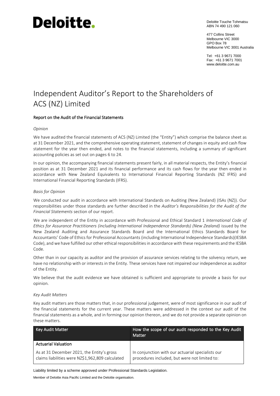# Deloitte.

Deloitte Touche Tohmatsu ABN 74 490 121 060

477 Collins Street Melbourne VIC 3000 GPO Box 78 Melbourne VIC 3001 Australia

Tel: +61 3 9671 7000 Fax: +61 3 9671 7001 www.deloitte.com.au

### Independent Auditor's Report to the Shareholders of ACS (NZ) Limited

#### Report on the Audit of the Financial Statements

#### *Opinion*

We have audited the financial statements of ACS (NZ) Limited (the "Entity") which comprise the balance sheet as at 31 December 2021, and the comprehensive operating statement, statement of changes in equity and cash flow statement for the year then ended, and notes to the financial statements, including a summary of significant accounting policies as set out on pages 6 to 24.

In our opinion, the accompanying financial statements present fairly, in all material respects, the Entity's financial position as at 31 December 2021 and its financial performance and its cash flows for the year then ended in accordance with New Zealand Equivalents to International Financial Reporting Standards (NZ IFRS) and International Financial Reporting Standards (IFRS).

#### *Basis for Opinion*

We conducted our audit in accordance with International Standards on Auditing (New Zealand) (ISAs (NZ)). Our responsibilities under those standards are further described in the *Auditor's Responsibilities for the Audit of the Financial Statements* section of our report.

We are independent of the Entity in accordance with Professional and Ethical Standard 1 *International Code of Ethics for Assurance Practitioners (including International Independence Standards) (New Zealand)* issued by the New Zealand Auditing and Assurance Standards Board and the International Ethics Standards Board for Accountants' Code of Ethics for Professional Accountants (including International Independence Standards)(IESBA Code), and we have fulfilled our other ethical responsibilities in accordance with these requirements and the IESBA Code.

Other than in our capacity as auditor and the provision of assurance services relating to the solvency return, we have no relationship with or interests in the Entity. These services have not impaired our independence as auditor of the Entity.

We believe that the audit evidence we have obtained is sufficient and appropriate to provide a basis for our opinion.

#### *Key Audit Matters*

Key audit matters are those matters that, in our professional judgement, were of most significance in our audit of the financial statements for the current year. These matters were addressed in the context our audit of the financial statements as a whole, and in forming our opinion thereon, and we do not provide a separate opinion on these matters.

| Key Audit Matter                                                                               | How the scope of our audit responded to the Key Audit<br>Matter                                    |
|------------------------------------------------------------------------------------------------|----------------------------------------------------------------------------------------------------|
| <b>Actuarial Valuation</b>                                                                     |                                                                                                    |
| As at 31 December 2021, the Entity's gross<br>claims liabilities were NZ\$1,962,809 calculated | In conjunction with our actuarial specialists our<br>procedures included, but were not limited to: |

Liability limited by a scheme approved under Professional Standards Legislation.

Member of Deloitte Asia Pacific Limited and the Deloitte organisation.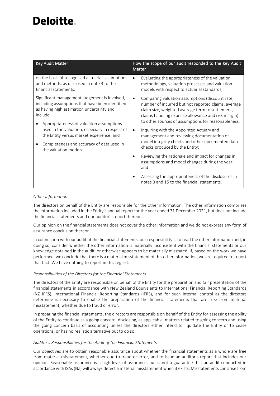## Deloitte.

| <b>Key Audit Matter</b>                                                                                                                                                              | How the scope of our audit responded to the Key Audit<br><b>Matter</b>                                                                                                                                                                                                               |
|--------------------------------------------------------------------------------------------------------------------------------------------------------------------------------------|--------------------------------------------------------------------------------------------------------------------------------------------------------------------------------------------------------------------------------------------------------------------------------------|
| on the basis of recognised actuarial assumptions<br>and methods, as disclosed in note 3 to the<br>financial statements.                                                              | Evaluating the appropriateness of the valuation<br>$\bullet$<br>methodology, valuation processes and valuation<br>models with respect to actuarial standards;                                                                                                                        |
| Significant management judgement is involved,<br>including assumptions that have been identified<br>as having high estimation uncertainty and<br>include:                            | Comparing valuation assumptions (discount rate,<br>$\bullet$<br>number of incurred but not reported claims, average<br>claim size, weighted average term to settlement,<br>claims handling expense allowance and risk margin)<br>to other sources of assumptions for reasonableness; |
| Appropriateness of valuation assumptions<br>used in the valuation, especially in respect of<br>the Entity versus market experience; and<br>Completeness and accuracy of data used in | Inquiring with the Appointed Actuary and<br>$\bullet$<br>management and reviewing documentation of<br>model integrity checks and other documented data                                                                                                                               |
| the valuation models.                                                                                                                                                                | checks produced by the Entity;<br>Reviewing the rationale and impact for changes in<br>$\bullet$<br>assumptions and model changes during the year;                                                                                                                                   |
|                                                                                                                                                                                      | and<br>Assessing the appropriateness of the disclosures in<br>notes 3 and 15 to the financial statements.                                                                                                                                                                            |

#### *Other Information*

The directors on behalf of the Entity are responsible for the other information. The other information comprises the information included in the Entity's annual report for the year ended 31 December 2021, but does not include the financial statements and our auditor's report thereon.

Our opinion on the financial statements does not cover the other information and we do not express any form of assurance conclusion thereon.

In connection with our audit of the financial statements, our responsibility is to read the other information and, in doing so, consider whether the other information is materially inconsistent with the financial statements or our knowledge obtained in the audit, or otherwise appears to be materially misstated. If, based on the work we have performed, we conclude that there is a material misstatement of this other information, we are required to report that fact. We have nothing to report in this regard.

#### *Responsibilities of the Directors for the Financial Statements*

The directors of the Entity are responsible on behalf of the Entity for the preparation and fair presentation of the financial statements in accordance with New Zealand Equivalents to International Financial Reporting Standards (NZ IFRS), International Financial Reporting Standards (IFRS), and for such internal control as the directors determine is necessary to enable the preparation of the financial statements that are free from material misstatement, whether due to fraud or error.

In preparing the financial statements, the directors are responsible on behalf of the Entity for assessing the ability of the Entity to continue as a going concern, disclosing, as applicable, matters related to going concern and using the going concern basis of accounting unless the directors either intend to liquidate the Entity or to cease operations, or has no realistic alternative but to do so.

#### *Auditor's Responsibilities for the Audit of the Financial Statements*

Our objectives are to obtain reasonable assurance about whether the financial statements as a whole are free from material misstatement, whether due to fraud or error, and to issue an auditor's report that includes our opinion. Reasonable assurance is a high level of assurance, but is not a guarantee that an audit conducted in accordance with ISAs (NZ) will always detect a material misstatement when it exists. Misstatements can arise from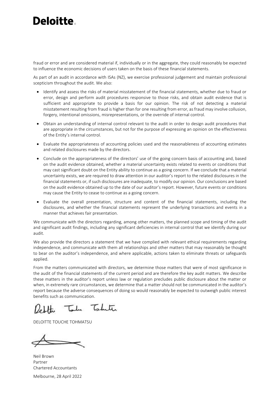## Deloitte.

fraud or error and are considered material if, individually or in the aggregate, they could reasonably be expected to influence the economic decisions of users taken on the basis of these financial statements.

As part of an audit in accordance with ISAs (NZ), we exercise professional judgement and maintain professional scepticism throughout the audit. We also:

- Identify and assess the risks of material misstatement of the financial statements, whether due to fraud or error, design and perform audit procedures responsive to those risks, and obtain audit evidence that is sufficient and appropriate to provide a basis for our opinion. The risk of not detecting a material misstatement resulting from fraud is higher than for one resulting from error, as fraud may involve collusion, forgery, intentional omissions, misrepresentations, or the override of internal control.
- Obtain an understanding of internal control relevant to the audit in order to design audit procedures that are appropriate in the circumstances, but not for the purpose of expressing an opinion on the effectiveness of the Entity's internal control.
- Evaluate the appropriateness of accounting policies used and the reasonableness of accounting estimates and related disclosures made by the directors.
- Conclude on the appropriateness of the directors' use of the going concern basis of accounting and, based on the audit evidence obtained, whether a material uncertainty exists related to events or conditions that may cast significant doubt on the Entity ability to continue as a going concern. If we conclude that a material uncertainty exists, we are required to draw attention in our auditor's report to the related disclosures in the financial statements or, if such disclosures are inadequate, to modify our opinion. Our conclusions are based on the audit evidence obtained up to the date of our auditor's report. However, future events or conditions may cause the Entity to cease to continue as a going concern.
- Evaluate the overall presentation, structure and content of the financial statements, including the disclosures, and whether the financial statements represent the underlying transactions and events in a manner that achieves fair presentation.

We communicate with the directors regarding, among other matters, the planned scope and timing of the audit and significant audit findings, including any significant deficiencies in internal control that we identify during our audit.

We also provide the directors a statement that we have complied with relevant ethical requirements regarding independence, and communicate with them all relationships and other matters that may reasonably be thought to bear on the auditor's independence, and where applicable, actions taken to eliminate threats or safeguards applied.

From the matters communicated with directors, we determine those matters that were of most significance in the audit of the financial statements of the current period and are therefore the key audit matters. We describe these matters in the auditor's report unless law or regulation precludes public disclosure about the matter or when, in extremely rare circumstances, we determine that a matter should not be communicated in the auditor's report because the adverse consequences of doing so would reasonably be expected to outweigh public interest benefits such as communication.

Take Taketa

DELOITTE TOUCHE TOHMATSU

Neil Brown Partner Chartered Accountants

Melbourne, 28 April 2022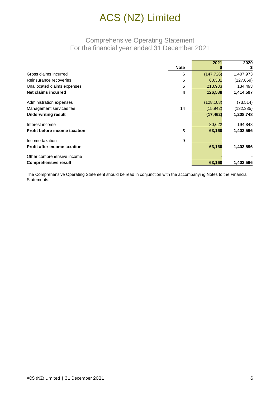### <span id="page-7-0"></span>Comprehensive Operating Statement For the financial year ended 31 December 2021

|                                      |             | 2021       | 2020       |
|--------------------------------------|-------------|------------|------------|
|                                      | <b>Note</b> |            | \$         |
| Gross claims incurred                | 6           | (147, 726) | 1,407,973  |
| Reinsurance recoveries               | 6           | 60,381     | (127, 869) |
| Unallocated claims expenses          | 6           | 213,933    | 134,493    |
| Net claims incurred                  | 6           | 126,588    | 1,414,597  |
| Administration expenses              |             | (128, 108) | (73, 514)  |
| Management services fee              | 14          | (15, 942)  | (132, 335) |
| <b>Underwriting result</b>           |             | (17, 462)  | 1,208,748  |
| Interest income                      |             | 80,622     | 194,848    |
| <b>Profit before income taxation</b> | 5           | 63,160     | 1,403,596  |
| Income taxation                      | 9           |            |            |
| <b>Profit after income taxation</b>  |             | 63,160     | 1,403,596  |
| Other comprehensive income           |             |            |            |
| <b>Comprehensive result</b>          |             | 63,160     | 1,403,596  |

The Comprehensive Operating Statement should be read in conjunction with the accompanying Notes to the Financial Statements.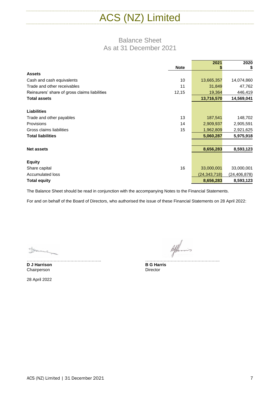### <span id="page-8-0"></span>Balance Sheet As at 31 December 2021

|                                               |             | 2021           | 2020           |
|-----------------------------------------------|-------------|----------------|----------------|
|                                               | <b>Note</b> |                | \$             |
| <b>Assets</b>                                 |             |                |                |
| Cash and cash equivalents                     | 10          | 13,665,357     | 14,074,860     |
| Trade and other receivables                   | 11          | 31,849         | 47,762         |
| Reinsurers' share of gross claims liabilities | 12,15       | 19,364         | 446,419        |
| <b>Total assets</b>                           |             | 13,716,570     | 14,569,041     |
|                                               |             |                |                |
| <b>Liabilities</b>                            |             |                |                |
| Trade and other payables                      | 13          | 187,541        | 148,702        |
| Provisions                                    | 14          | 2,909,937      | 2,905,591      |
| Gross claims liabilities                      | 15          | 1,962,809      | 2,921,625      |
| <b>Total liabilities</b>                      |             | 5,060,287      | 5,975,918      |
|                                               |             |                |                |
| <b>Net assets</b>                             |             | 8,656,283      | 8,593,123      |
|                                               |             |                |                |
| <b>Equity</b>                                 |             |                |                |
| Share capital                                 | 16          | 33,000,001     | 33,000,001     |
| <b>Accumulated loss</b>                       |             | (24, 343, 718) | (24, 406, 878) |
| <b>Total equity</b>                           |             | 8,656,283      | 8,593,123      |

The Balance Sheet should be read in conjunction with the accompanying Notes to the Financial Statements.

For and on behalf of the Board of Directors, who authorised the issue of these Financial Statements on 28 April 2022:

Jaanne

**D J Harrison B G Harrison B G Harrison B G Harrison B G Harrison B G Harrison** 

Chairperson

28 April 2022

Affermis

…………………………………………….. ……………………………………………..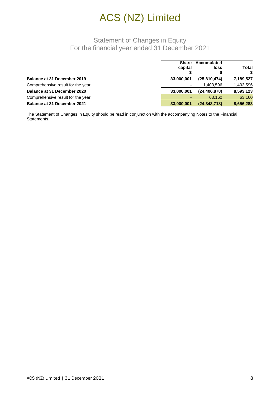### <span id="page-9-0"></span>Statement of Changes in Equity For the financial year ended 31 December 2021

|                                    | <b>Share</b><br>capital | Accumulated<br>loss | Total     |
|------------------------------------|-------------------------|---------------------|-----------|
| <b>Balance at 31 December 2019</b> | 33,000,001              | (25,810,474)        | 7,189,527 |
| Comprehensive result for the year  | ۰                       | 1.403.596           | 1,403,596 |
| <b>Balance at 31 December 2020</b> | 33,000,001              | (24, 406, 878)      | 8,593,123 |
| Comprehensive result for the year  |                         | 63,160              | 63,160    |
| <b>Balance at 31 December 2021</b> | 33,000,001              | (24, 343, 718)      | 8.656.283 |

The Statement of Changes in Equity should be read in conjunction with the accompanying Notes to the Financial Statements.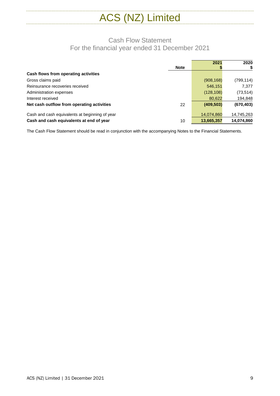### <span id="page-10-0"></span>Cash Flow Statement For the financial year ended 31 December 2021

|                                                |             | 2021       | 2020       |
|------------------------------------------------|-------------|------------|------------|
|                                                | <b>Note</b> |            |            |
| Cash flows from operating activities           |             |            |            |
| Gross claims paid                              |             | (908, 168) | (799,114)  |
| Reinsurance recoveries received                |             | 546,151    | 7,377      |
| Administration expenses                        |             | (128, 108) | (73, 514)  |
| Interest received                              |             | 80,622     | 194,848    |
| Net cash outflow from operating activities     | 22          | (409, 503) | (670, 403) |
| Cash and cash equivalents at beginning of year |             | 14,074,860 | 14,745,263 |
| Cash and cash equivalents at end of year       | 10          | 13,665,357 | 14,074,860 |

The Cash Flow Statement should be read in conjunction with the accompanying Notes to the Financial Statements.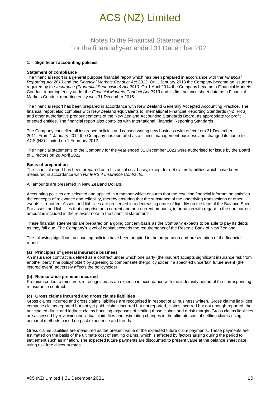### <span id="page-11-0"></span>Notes to the Financial Statements For the financial year ended 31 December 2021

#### **1. Significant accounting policies**

#### **Statement of compliance**

The financial report is a general purpose financial report which has been prepared in accordance with the *Financial Reporting Act 2013* and the *Financial Markets Conduct Act 2013*. On 1 January 2013 the Company became an issuer as required by the *Insurance (Prudential Supervision) Act 2010*. On 1 April 2014 the Company became a Financial Markets Conduct reporting entity under the *Financial Markets Conduct Act 2013* and its first balance sheet date as a Financial Markets Conduct reporting entity was 31 December 2015.

The financial report has been prepared in accordance with New Zealand Generally Accepted Accounting Practice. The financial report also complies with New Zealand equivalents to International Financial Reporting Standards (NZ IFRS) and other authoritative pronouncements of the New Zealand Accounting Standards Board, as appropriate for profit oriented entities. The financial report also complies with International Financial Reporting Standards.

The Company cancelled all insurance policies and ceased writing new business with effect from 31 December 2011. From 1 January 2012 the Company has operated as a claims management business and changed its name to ACS (NZ) Limited on 1 February 2012.

The financial statements of the Company for the year ended 31 December 2021 were authorised for issue by the Board of Directors on 28 April 2022.

#### **Basis of preparation**

The financial report has been prepared on a historical cost basis, except for net claims liabilities which have been measured in accordance with *NZ IFRS 4 Insurance Contracts*.

All amounts are presented in New Zealand Dollars.

Accounting policies are selected and applied in a manner which ensures that the resulting financial information satisfies the concepts of relevance and reliability, thereby ensuring that the substance of the underlying transactions or other events is reported. Assets and liabilities are presented in a decreasing order of liquidity on the face of the Balance Sheet. For assets and liabilities that comprise both current and non-current amounts, information with regard to the non-current amount is included in the relevant note to the financial statements.

These financial statements are prepared on a going concern basis as the Company expects to be able to pay its debts as they fall due. The Company's level of capital exceeds the requirements of the Reserve Bank of New Zealand.

The following significant accounting policies have been adopted in the preparation and presentation of the financial report:

#### **(a) Principles of general insurance business**

An insurance contract is defined as a contract under which one party (the insurer) accepts significant insurance risk from another party (the policyholder) by agreeing to compensate the policyholder if a specified uncertain future event (the insured event) adversely affects the policyholder.

#### **(b) Reinsurance premium incurred**

Premium ceded to reinsurers is recognised as an expense in accordance with the indemnity period of the corresponding reinsurance contract.

#### **(c) Gross claims incurred and gross claims liabilities**

Gross claims incurred and gross claims liabilities are recognised in respect of all business written. Gross claims liabilities comprise claims reported but not yet paid, claims incurred but not reported, claims incurred but not enough reported, the anticipated direct and indirect claims handling expenses of settling those claims and a risk margin. Gross claims liabilities are assessed by reviewing individual claim files and estimating changes in the ultimate cost of settling claims using actuarial methods based on past experience and trends.

Gross claims liabilities are measured as the present value of the expected future claim payments. These payments are estimated on the basis of the ultimate cost of settling claims, which is affected by factors arising during the period to settlement such as inflation. The expected future payments are discounted to present value at the balance sheet date using risk free discount rates.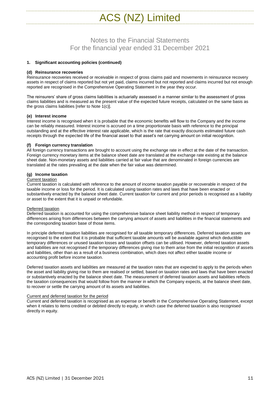### Notes to the Financial Statements For the financial year ended 31 December 2021

#### **1. Significant accounting policies (continued)**

#### **(d) Reinsurance recoveries**

Reinsurance recoveries received or receivable in respect of gross claims paid and movements in reinsurance recovery assets in respect of claims reported but not yet paid, claims incurred but not reported and claims incurred but not enough reported are recognised in the Comprehensive Operating Statement in the year they occur.

The reinsurers' share of gross claims liabilities is actuarially assessed in a manner similar to the assessment of gross claims liabilities and is measured as the present value of the expected future receipts, calculated on the same basis as the gross claims liabilities [refer to Note 1(c)].

#### **(e) Interest income**

Interest income is recognised when it is probable that the economic benefits will flow to the Company and the income can be reliably measured. Interest income is accrued on a time proportionate basis with reference to the principal outstanding and at the effective interest rate applicable, which is the rate that exactly discounts estimated future cash receipts through the expected life of the financial asset to that asset's net carrying amount on initial recognition.

#### **(f) Foreign currency translation**

All foreign currency transactions are brought to account using the exchange rate in effect at the date of the transaction. Foreign currency monetary items at the balance sheet date are translated at the exchange rate existing at the balance sheet date. Non-monetary assets and liabilities carried at fair value that are denominated in foreign currencies are translated at the rates prevailing at the date when the fair value was determined.

#### **(g) Income taxation**

#### Current taxation

Current taxation is calculated with reference to the amount of income taxation payable or recoverable in respect of the taxable income or loss for the period. It is calculated using taxation rates and laws that have been enacted or substantively enacted by the balance sheet date. Current taxation for current and prior periods is recognised as a liability or asset to the extent that it is unpaid or refundable.

#### Deferred taxation

Deferred taxation is accounted for using the comprehensive balance sheet liability method in respect of temporary differences arising from differences between the carrying amount of assets and liabilities in the financial statements and the corresponding taxation base of those items.

In principle deferred taxation liabilities are recognised for all taxable temporary differences. Deferred taxation assets are recognised to the extent that it is probable that sufficient taxable amounts will be available against which deductible temporary differences or unused taxation losses and taxation offsets can be utilised. However, deferred taxation assets and liabilities are not recognised if the temporary differences giving rise to them arise from the initial recognition of assets and liabilities, other than as a result of a business combination, which does not affect either taxable income or accounting profit before income taxation.

Deferred taxation assets and liabilities are measured at the taxation rates that are expected to apply to the periods when the asset and liability giving rise to them are realised or settled, based on taxation rates and laws that have been enacted or substantively enacted by the balance sheet date. The measurement of deferred taxation assets and liabilities reflects the taxation consequences that would follow from the manner in which the Company expects, at the balance sheet date, to recover or settle the carrying amount of its assets and liabilities.

#### Current and deferred taxation for the period

Current and deferred taxation is recognised as an expense or benefit in the Comprehensive Operating Statement, except when it relates to items credited or debited directly to equity, in which case the deferred taxation is also recognised directly in equity.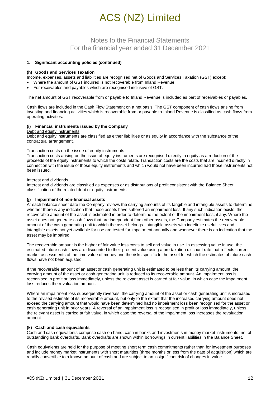### Notes to the Financial Statements For the financial year ended 31 December 2021

#### **1. Significant accounting policies (continued)**

#### **(h) Goods and Services Taxation**

Income, expenses, assets and liabilities are recognised net of Goods and Services Taxation (GST) except:

- Where the amount of GST incurred is not recoverable from Inland Revenue.
- For receivables and payables which are recognised inclusive of GST.

The net amount of GST recoverable from or payable to Inland Revenue is included as part of receivables or payables.

Cash flows are included in the Cash Flow Statement on a net basis. The GST component of cash flows arising from investing and financing activities which is recoverable from or payable to Inland Revenue is classified as cash flows from operating activities.

#### **(i) Financial instruments issued by the Company**

#### Debt and equity instruments

Debt and equity instruments are classified as either liabilities or as equity in accordance with the substance of the contractual arrangement.

#### Transaction costs on the issue of equity instruments

Transaction costs arising on the issue of equity instruments are recognised directly in equity as a reduction of the proceeds of the equity instruments to which the costs relate. Transaction costs are the costs that are incurred directly in connection with the issue of those equity instruments and which would not have been incurred had those instruments not been issued.

#### Interest and dividends

Interest and dividends are classified as expenses or as distributions of profit consistent with the Balance Sheet classification of the related debt or equity instruments.

#### **(j) Impairment of non-financial assets**

At each balance sheet date the Company reviews the carrying amounts of its tangible and intangible assets to determine whether there is any indication that those assets have suffered an impairment loss. If any such indication exists, the recoverable amount of the asset is estimated in order to determine the extent of the impairment loss, if any. Where the asset does not generate cash flows that are independent from other assets, the Company estimates the recoverable amount of the cash generating unit to which the asset belongs. Intangible assets with indefinite useful lives and intangible assets not yet available for use are tested for impairment annually and whenever there is an indication that the asset may be impaired.

The recoverable amount is the higher of fair value less costs to sell and value in use. In assessing value in use, the estimated future cash flows are discounted to their present value using a pre taxation discount rate that reflects current market assessments of the time value of money and the risks specific to the asset for which the estimates of future cash flows have not been adjusted.

If the recoverable amount of an asset or cash generating unit is estimated to be less than its carrying amount, the carrying amount of the asset or cash generating unit is reduced to its recoverable amount. An impairment loss is recognised in profit or loss immediately, unless the relevant asset is carried at fair value, in which case the impairment loss reduces the revaluation amount.

Where an impairment loss subsequently reverses, the carrying amount of the asset or cash generating unit is increased to the revised estimate of its recoverable amount, but only to the extent that the increased carrying amount does not exceed the carrying amount that would have been determined had no impairment loss been recognised for the asset or cash generating unit in prior years. A reversal of an impairment loss is recognised in profit or loss immediately, unless the relevant asset is carried at fair value, in which case the reversal of the impairment loss increases the revaluation amount.

#### **(k) Cash and cash equivalents**

Cash and cash equivalents comprise cash on hand, cash in banks and investments in money market instruments, net of outstanding bank overdrafts. Bank overdrafts are shown within borrowings in current liabilities in the Balance Sheet.

Cash equivalents are held for the purpose of meeting short term cash commitments rather than for investment purposes and include money market instruments with short maturities (three months or less from the date of acquisition) which are readily convertible to a known amount of cash and are subject to an insignificant risk of changes in value.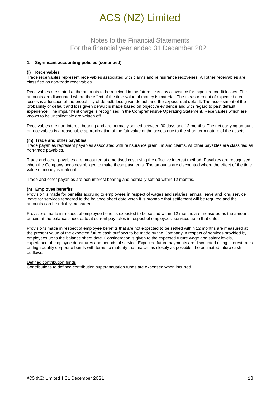### Notes to the Financial Statements For the financial year ended 31 December 2021

#### **1. Significant accounting policies (continued)**

#### **(l) Receivables**

Trade receivables represent receivables associated with claims and reinsurance recoveries. All other receivables are classified as non-trade receivables.

Receivables are stated at the amounts to be received in the future, less any allowance for expected credit losses. The amounts are discounted where the effect of the time value of money is material. The measurement of expected credit losses is a function of the probability of default, loss given default and the exposure at default. The assessment of the probability of default and loss given default is made based on objective evidence and with regard to past default experience. The impairment charge is recognised in the Comprehensive Operating Statement. Receivables which are known to be uncollectible are written off.

Receivables are non-interest bearing and are normally settled between 30 days and 12 months. The net carrying amount of receivables is a reasonable approximation of the fair value of the assets due to the short term nature of the assets.

#### **(m) Trade and other payables**

Trade payables represent payables associated with reinsurance premium and claims. All other payables are classified as non-trade payables.

Trade and other payables are measured at amortised cost using the effective interest method. Payables are recognised when the Company becomes obliged to make these payments. The amounts are discounted where the effect of the time value of money is material.

Trade and other payables are non-interest bearing and normally settled within 12 months.

#### **(n) Employee benefits**

Provision is made for benefits accruing to employees in respect of wages and salaries, annual leave and long service leave for services rendered to the balance sheet date when it is probable that settlement will be required and the amounts can be reliably measured.

Provisions made in respect of employee benefits expected to be settled within 12 months are measured as the amount unpaid at the balance sheet date at current pay rates in respect of employees' services up to that date.

Provisions made in respect of employee benefits that are not expected to be settled within 12 months are measured at the present value of the expected future cash outflows to be made by the Company in respect of services provided by employees up to the balance sheet date. Consideration is given to the expected future wage and salary levels, experience of employee departures and periods of service. Expected future payments are discounted using interest rates on high quality corporate bonds with terms to maturity that match, as closely as possible, the estimated future cash outflows.

#### Defined contribution funds

Contributions to defined contribution superannuation funds are expensed when incurred.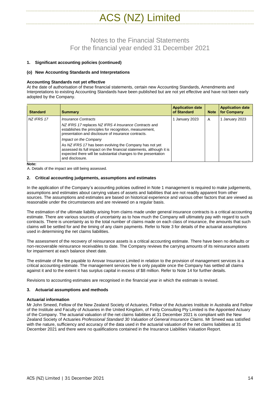### Notes to the Financial Statements For the financial year ended 31 December 2021

#### **1. Significant accounting policies (continued)**

#### **(o) New Accounting Standards and Interpretations**

#### **Accounting Standards not yet effective**

At the date of authorisation of these financial statements, certain new Accounting Standards, Amendments and Interpretations to existing Accounting Standards have been published but are not yet effective and have not been early adopted by the Company.

| <b>Standard</b> | Summary                                                                                                                                                                                                                                                                                                                                                                                                                                                        | <b>Application date</b><br>of Standard | <b>Note</b> | <b>Application date</b><br>for Company |
|-----------------|----------------------------------------------------------------------------------------------------------------------------------------------------------------------------------------------------------------------------------------------------------------------------------------------------------------------------------------------------------------------------------------------------------------------------------------------------------------|----------------------------------------|-------------|----------------------------------------|
| NZ IFRS 17      | <i><b>Insurance Contracts</b></i><br>NZ IFRS 17 replaces NZ IFRS 4 Insurance Contracts and<br>establishes the principles for recognition, measurement,<br>presentation and disclosure of insurance contracts.<br>Impact on the Company<br>As NZ IFRS 17 has been evolving the Company has not yet<br>assessed its full impact on the financial statements, although it is<br>expected there will be substantial changes to the presentation<br>and disclosure. | January 2023                           | A           | 1 January 2023                         |

**Note:**

A. Details of the impact are still being assessed.

#### **2. Critical accounting judgements, assumptions and estimates**

In the application of the Company's accounting policies outlined in Note 1 management is required to make judgements, assumptions and estimates about carrying values of assets and liabilities that are not readily apparent from other sources. The assumptions and estimates are based on historical experience and various other factors that are viewed as reasonable under the circumstances and are reviewed on a regular basis.

The estimation of the ultimate liability arising from claims made under general insurance contracts is a critical accounting estimate. There are various sources of uncertainty as to how much the Company will ultimately pay with regard to such contracts. There is uncertainty as to the total number of claims made on each class of insurance, the amounts that such claims will be settled for and the timing of any claim payments. Refer to Note 3 for details of the actuarial assumptions used in determining the net claims liabilities.

The assessment of the recovery of reinsurance assets is a critical accounting estimate. There have been no defaults or non-recoverable reinsurance receivables to date. The Company reviews the carrying amounts of its reinsurance assets for impairment at each balance sheet date.

The estimate of the fee payable to Ansvar Insurance Limited in relation to the provision of management services is a critical accounting estimate. The management services fee is only payable once the Company has settled all claims against it and to the extent it has surplus capital in excess of \$8 million. Refer to Note 14 for further details.

Revisions to accounting estimates are recognised in the financial year in which the estimate is revised.

#### **3. Actuarial assumptions and methods**

#### **Actuarial information**

Mr John Smeed, Fellow of the New Zealand Society of Actuaries, Fellow of the Actuaries Institute in Australia and Fellow of the Institute and Faculty of Actuaries in the United Kingdom, of Finity Consulting Pty Limited is the Appointed Actuary of the Company. The actuarial valuation of the net claims liabilities at 31 December 2021 is compliant with the New Zealand Society of Actuaries *Professional Standard 30 Valuation of General Insurance Claims*. Mr Smeed was satisfied with the nature, sufficiency and accuracy of the data used in the actuarial valuation of the net claims liabilities at 31 December 2021 and there were no qualifications contained in the Insurance Liabilities Valuation Report.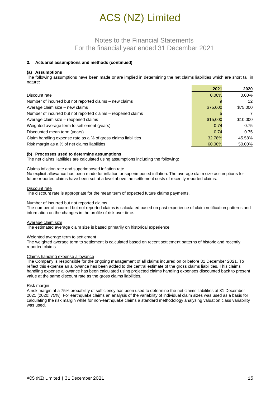### Notes to the Financial Statements For the financial year ended 31 December 2021

#### **3. Actuarial assumptions and methods (continued)**

#### **(a) Assumptions**

The following assumptions have been made or are implied in determining the net claims liabilities which are short tail in nature:

|                                                                | 2021     | 2020     |
|----------------------------------------------------------------|----------|----------|
| Discount rate                                                  | 0.00%    | 0.00%    |
| Number of incurred but not reported claims – new claims        |          | 12       |
| Average claim size – new claims                                | \$75,000 | \$75,000 |
| Number of incurred but not reported claims - reopened claims   |          | 7        |
| Average claim size - reopened claims                           | \$15,000 | \$10,000 |
| Weighted average term to settlement (years)                    | 0.74     | 0.75     |
| Discounted mean term (years)                                   | 0.74     | 0.75     |
| Claim handling expense rate as a % of gross claims liabilities | 32.78%   | 45.58%   |
| Risk margin as a % of net claims liabilities                   | 60.00%   | 50.00%   |

#### **(b) Processes used to determine assumptions**

The net claims liabilities are calculated using assumptions including the following:

#### Claims inflation rate and superimposed inflation rate

No explicit allowance has been made for inflation or superimposed inflation. The average claim size assumptions for future reported claims have been set at a level above the settlement costs of recently reported claims.

#### Discount rate

The discount rate is appropriate for the mean term of expected future claims payments.

#### Number of incurred but not reported claims

The number of incurred but not reported claims is calculated based on past experience of claim notification patterns and information on the changes in the profile of risk over time.

#### Average claim size

The estimated average claim size is based primarily on historical experience.

#### Weighted average term to settlement

The weighted average term to settlement is calculated based on recent settlement patterns of historic and recently reported claims.

#### Claims handling expense allowance

The Company is responsible for the ongoing management of all claims incurred on or before 31 December 2021. To reflect this expense an allowance has been added to the central estimate of the gross claims liabilities. This claims handling expense allowance has been calculated using projected claims handling expenses discounted back to present value at the same discount rate as the gross claims liabilities.

#### Risk margin

A risk margin at a 75% probability of sufficiency has been used to determine the net claims liabilities at 31 December 2021 (2020: 75%). For earthquake claims an analysis of the variability of individual claim sizes was used as a basis for calculating the risk margin while for non-earthquake claims a standard methodology analysing valuation class variability was used.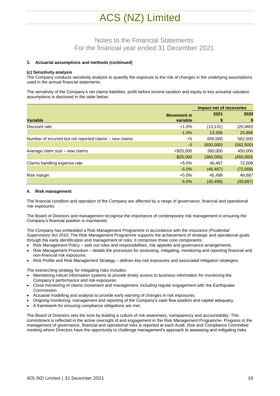### Notes to the Financial Statements For the financial year ended 31 December 2021

#### **3. Actuarial assumptions and methods (continued)**

#### **(c) Sensitivity analysis**

The Company conducts sensitivity analysis to quantify the exposure to the risk of changes in the underlying assumptions used in the annual financial statements.

The sensitivity of the Company's net claims liabilities, profit before income taxation and equity to key actuarial valuation assumptions is disclosed in the table below:

|                                                         |                                | <b>Impact net of recoveries</b> |            |
|---------------------------------------------------------|--------------------------------|---------------------------------|------------|
| <b>Variable</b>                                         | <b>Movement in</b><br>variable | 2021<br>\$                      | 2020<br>\$ |
| Discount rate                                           | $+1.0%$                        | (13, 131)                       | (20, 460)  |
|                                                         | $-1.0%$                        | 13,356                          | 20,866     |
| Number of incurred but not reported claims – new claims | $+5$                           | 600,000                         | 562,500    |
|                                                         | $-5$                           | (600,000)                       | (562, 500) |
| Average claim size - new claims                         | $+$ \$25,000                   | 360,000                         | 450,000    |
|                                                         | $-$ \$25,000                   | (360,000)                       | (450,000)  |
| Claims handling expense rate                            | $+5.0\%$                       | 46.467                          | 72,008     |
|                                                         | $-5.0\%$                       | (46, 467)                       | (72,008)   |
| Risk margin                                             | $+5.0\%$                       | 45,499                          | 49,687     |
|                                                         | $-5.0%$                        | (45, 499)                       | (49, 687)  |

#### **4. Risk management**

The financial condition and operation of the Company are affected by a range of governance, financial and operational risk exposures.

The Board of Directors and management recognise the importance of contemporary risk management in ensuring the Company's financial position is maintained.

The Company has embedded a Risk Management Programme in accordance with the *Insurance (Prudential Supervision) Act 2010*. The Risk Management Programme supports the achievement of strategic and operational goals through the early identification and management of risks. It comprises three core components:

- Risk Management Policy sets out roles and responsibilities, risk appetite and governance arrangements.
- Risk Management Procedure details the processes for assessing, mitigating, monitoring and reporting financial and non-financial risk exposures.
- Risk Profile and Risk Management Strategy defines key risk exposures and associated mitigation strategies.

The overarching strategy for mitigating risks includes:

- Maintaining robust information systems to provide timely access to business information for monitoring the Company's performance and risk exposures.
- Close monitoring of claims movement and management, including regular engagement with the Earthquake Commission.
- Actuarial modelling and analysis to provide early warning of changes in risk exposures.
- Ongoing monitoring, management and reporting of the Company's cash flow position and capital adequacy.
- A framework for ensuring compliance obligations are met.

The Board of Directors sets the tone by leading a culture of risk awareness, transparency and accountability. This commitment is reflected in the active oversight of and engagement in the Risk Management Programme. Progress in the management of governance, financial and operational risks is reported at each Audit, Risk and Compliance Committee meeting where Directors have the opportunity to challenge management's approach to assessing and mitigating risks.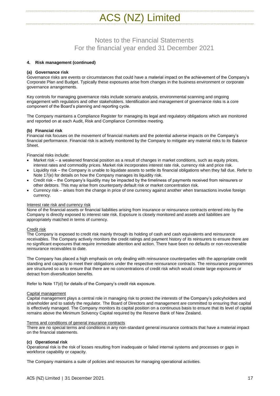### Notes to the Financial Statements For the financial year ended 31 December 2021

#### **4. Risk management (continued)**

#### **(a) Governance risk**

Governance risks are events or circumstances that could have a material impact on the achievement of the Company's Corporate Plan and Budget. Typically these exposures arise from changes in the business environment or corporate governance arrangements.

Key controls for managing governance risks include scenario analysis, environmental scanning and ongoing engagement with regulators and other stakeholders. Identification and management of governance risks is a core component of the Board's planning and reporting cycle.

The Company maintains a Compliance Register for managing its legal and regulatory obligations which are monitored and reported on at each Audit, Risk and Compliance Committee meeting.

#### **(b) Financial risk**

Financial risk focuses on the movement of financial markets and the potential adverse impacts on the Company's financial performance. Financial risk is actively monitored by the Company to mitigate any material risks to its Balance Sheet.

Financial risks include:

- Market risk a weakened financial position as a result of changes in market conditions, such as equity prices, interest rates and commodity prices. Market risk incorporates interest rate risk, currency risk and price risk.
- Liquidity risk the Company is unable to liquidate assets to settle its financial obligations when they fall due. Refer to Note 17(e) for details on how the Company manages its liquidity risk.
- Credit risk the Company's liquidity may be impacted by the timeliness of payments received from reinsurers or other debtors. This may arise from counterparty default risk or market concentration risk.
- Currency risk arises from the change in price of one currency against another when transactions involve foreign currency.

#### Interest rate risk and currency risk

None of the financial assets or financial liabilities arising from insurance or reinsurance contracts entered into by the Company is directly exposed to interest rate risk. Exposure is closely monitored and assets and liabilities are appropriately matched in terms of currency.

#### Credit risk

The Company is exposed to credit risk mainly through its holding of cash and cash equivalents and reinsurance receivables. The Company actively monitors the credit ratings and payment history of its reinsurers to ensure there are no significant exposures that require immediate attention and action. There have been no defaults or non-recoverable reinsurance receivables to date.

The Company has placed a high emphasis on only dealing with reinsurance counterparties with the appropriate credit standing and capacity to meet their obligations under the respective reinsurance contracts. The reinsurance programmes are structured so as to ensure that there are no concentrations of credit risk which would create large exposures or detract from diversification benefits.

Refer to Note 17(d) for details of the Company's credit risk exposure.

#### Capital management

Capital management plays a central role in managing risk to protect the interests of the Company's policyholders and shareholder and to satisfy the regulator. The Board of Directors and management are committed to ensuring that capital is effectively managed. The Company monitors its capital position on a continuous basis to ensure that its level of capital remains above the Minimum Solvency Capital required by the Reserve Bank of New Zealand.

#### Terms and conditions of general insurance contracts

There are no special terms and conditions in any non-standard general insurance contracts that have a material impact on the financial statements.

#### **(c) Operational risk**

Operational risk is the risk of losses resulting from inadequate or failed internal systems and processes or gaps in workforce capability or capacity.

The Company maintains a suite of policies and resources for managing operational activities.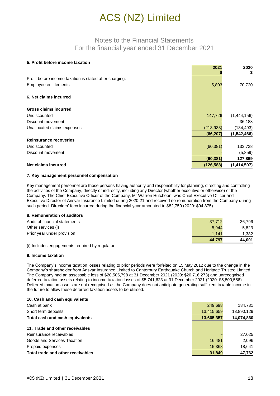### Notes to the Financial Statements For the financial year ended 31 December 2021

| 5. Profit before income taxation                        |            |             |
|---------------------------------------------------------|------------|-------------|
|                                                         | 2021       | 2020        |
|                                                         |            | \$          |
| Profit before income taxation is stated after charging: |            |             |
| Employee entitlements                                   | 5,803      | 70,720      |
|                                                         |            |             |
| 6. Net claims incurred                                  |            |             |
|                                                         |            |             |
| <b>Gross claims incurred</b>                            |            |             |
| Undiscounted                                            | 147,726    | (1,444,156) |
| Discount movement                                       |            | 36,183      |
| Unallocated claims expenses                             | (213,933)  | (134,493)   |
|                                                         | (66, 207)  | (1,542,466) |
| <b>Reinsurance recoveries</b>                           |            |             |
| Undiscounted                                            | (60, 381)  | 133,728     |
| Discount movement                                       |            | (5,859)     |
|                                                         | (60, 381)  | 127,869     |
| Net claims incurred                                     | (126, 588) | (1,414,597) |

#### **7. Key management personnel compensation**

Key management personnel are those persons having authority and responsibility for planning, directing and controlling the activities of the Company, directly or indirectly, including any Director (whether executive or otherwise) of the Company. The Chief Executive Officer of the Company, Mr Warren Hutcheon, was Chief Executive Officer and Executive Director of Ansvar Insurance Limited during 2020-21 and received no remuneration from the Company during such period. Directors' fees incurred during the financial year amounted to \$82,750 (2020: \$94,875).

#### **8. Remuneration of auditors**

| 1.141 | 1.382           |
|-------|-----------------|
|       |                 |
|       | 5.823           |
|       | 36,796          |
|       | 37.712<br>5.944 |

(i) Includes engagements required by regulator.

#### **9. Income taxation**

The Company's income taxation losses relating to prior periods were forfeited on 15 May 2012 due to the change in the Company's shareholder from Ansvar Insurance Limited to Canterbury Earthquake Church and Heritage Trustee Limited. The Company had an assessable loss of \$20,505,798 at 31 December 2021 (2020: \$20,716,273) and unrecognised deferred taxation assets relating to income taxation losses of \$5,741,623 at 31 December 2021 (2020: \$5,800,556). Deferred taxation assets are not recognised as the Company does not anticipate generating sufficient taxable income in the future to allow these deferred taxation assets to be utilised.

#### **10. Cash and cash equivalents**

| Cash at bank                      | 249,698    | 184.731    |
|-----------------------------------|------------|------------|
| Short term deposits               | 13,415,659 | 13,890,129 |
| Total cash and cash equivalents   | 13,665,357 | 14,074,860 |
| 11. Trade and other receivables   |            |            |
| Reinsurance receivables           |            | 27,025     |
| Goods and Services Taxation       | 16.481     | 2.096      |
| Prepaid expenses                  | 15.368     | 18,641     |
| Total trade and other receivables | 31.849     | 47,762     |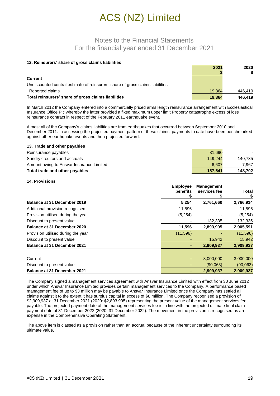### Notes to the Financial Statements For the financial year ended 31 December 2021

#### **12. Reinsurers' share of gross claims liabilities**

**14. Provisions**

|                                                                                | 2021   | 2020    |
|--------------------------------------------------------------------------------|--------|---------|
|                                                                                |        |         |
| <b>Current</b>                                                                 |        |         |
| Undiscounted central estimate of reinsurers' share of gross claims liabilities |        |         |
| Reported claims                                                                | 19.364 | 446.419 |
| Total reinsurers' share of gross claims liabilities                            | 19.364 | 446.419 |

In March 2012 the Company entered into a commercially priced arms length reinsurance arrangement with Ecclesiastical Insurance Office Plc whereby the latter provided a fixed maximum upper limit Property catastrophe excess of loss reinsurance contract in respect of the February 2011 earthquake event.

Almost all of the Company's claims liabilities are from earthquakes that occurred between September 2010 and December 2011. In assessing the projected payment pattern of these claims, payments to date have been benchmarked against other earthquake events and then projected forward.

| 13. Trade and other payables             |         |         |
|------------------------------------------|---------|---------|
| Reinsurance payables                     | 31.690  |         |
| Sundry creditors and accruals            | 149.244 | 140.735 |
| Amount owing to Ansvar Insurance Limited | 6.607   | 7.967   |
| Total trade and other payables           | 187.541 | 148.702 |

| טושוטוזש ו ודו                     | <b>Employee</b><br>benefits | <b>Management</b><br>services fee | <b>Total</b><br>\$ |
|------------------------------------|-----------------------------|-----------------------------------|--------------------|
| <b>Balance at 31 December 2019</b> | 5,254                       | 2,761,660                         | 2,766,914          |
| Additional provision recognised    | 11,596                      |                                   | 11,596             |
| Provision utilised during the year | (5,254)                     |                                   | (5,254)            |
| Discount to present value          |                             | 132,335                           | 132,335            |
| <b>Balance at 31 December 2020</b> | 11,596                      | 2,893,995                         | 2,905,591          |
| Provision utilised during the year | (11, 596)                   |                                   | (11, 596)          |
| Discount to present value          |                             | 15.942                            | 15,942             |
| <b>Balance at 31 December 2021</b> |                             | 2,909,937                         | 2,909,937          |
| Current                            | ٠                           | 3,000,000                         | 3,000,000          |
| Discount to present value          | ۰                           | (90,063)                          | (90,063)           |
| <b>Balance at 31 December 2021</b> | ۰                           | 2,909,937                         | 2,909,937          |

The Company signed a management services agreement with Ansvar Insurance Limited with effect from 30 June 2012 under which Ansvar Insurance Limited provides certain management services to the Company. A performance based management fee of up to \$3 million may be payable to Ansvar Insurance Limited once the Company has settled all claims against it to the extent it has surplus capital in excess of \$8 million. The Company recognised a provision of \$2,909,937 at 31 December 2021 (2020: \$2,893,995) representing the present value of the management services fee payable. The projected payment date of the management services fee is in line with the projected ultimate final claim payment date of 31 December 2022 (2020: 31 December 2022). The movement in the provision is recognised as an expense in the Comprehensive Operating Statement.

The above item is classed as a provision rather than an accrual because of the inherent uncertainty surrounding its ultimate value.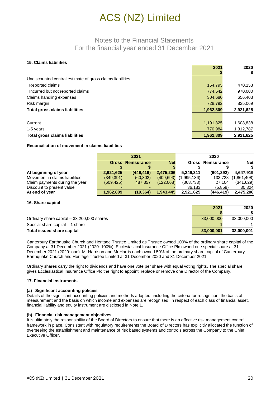### Notes to the Financial Statements For the financial year ended 31 December 2021

| 15. Claims liabilities                                    |           |           |
|-----------------------------------------------------------|-----------|-----------|
|                                                           | 2021      | 2020      |
|                                                           |           | \$        |
| Undiscounted central estimate of gross claims liabilities |           |           |
| Reported claims                                           | 154,795   | 470,153   |
| Incurred but not reported claims                          | 774,542   | 970,000   |
| Claims handling expenses                                  | 304,680   | 656,403   |
| Risk margin                                               | 728,792   | 825,069   |
| <b>Total gross claims liabilities</b>                     | 1,962,809 | 2,921,625 |
|                                                           |           |           |
| Current                                                   | 1,191,825 | 1,608,838 |
| 1-5 years                                                 | 770.984   | 1,312,787 |
| <b>Total gross claims liabilities</b>                     | 1,962,809 | 2,921,625 |

#### **Reconciliation of movement in claims liabilities**

|                                |            | 2021                     |            |             | 2020                     |             |
|--------------------------------|------------|--------------------------|------------|-------------|--------------------------|-------------|
|                                |            | <b>Gross Reinsurance</b> | <b>Net</b> |             | <b>Gross Reinsurance</b> | <b>Net</b>  |
|                                |            |                          |            |             |                          |             |
| At beginning of year           | 2,921,625  | (446, 419)               | 2,475,206  | 5.249.311   | (601, 392)               | 4,647,919   |
| Movement in claims liabilities | (349, 391) | (60, 302)                | (409, 693) | (1,995,136) | 133,728                  | (1,861,408) |
| Claim payments during the year | (609, 425) | 487,357                  | (122,068)  | (368, 733)  | 27.104                   | (341, 629)  |
| Discount to present value      |            |                          |            | 36.183      | (5,859)                  | 30,324      |
| At end of year                 | 1,962,809  | (19, 364)                | 1.943.445  | 2,921,625   | (446, 419)               | 2,475,206   |

#### **16. Share capital**

|                                            | 2021       | 2020       |
|--------------------------------------------|------------|------------|
|                                            |            |            |
| Ordinary share capital - 33,200,000 shares | 33,000,000 | 33,000,000 |
| Special share capital - 1 share            |            |            |
| Total issued share capital                 | 33,000,001 | 33,000,001 |

Canterbury Earthquake Church and Heritage Trustee Limited as Trustee owned 100% of the ordinary share capital of the Company at 31 December 2021 (2020: 100%). Ecclesiastical Insurance Office Plc owned one special share at 31 December 2021 (2020: one). Mr Harrison and Mr Harris each owned 50% of the ordinary share capital of Canterbury Earthquake Church and Heritage Trustee Limited at 31 December 2020 and 31 December 2021.

Ordinary shares carry the right to dividends and have one vote per share with equal voting rights. The special share gives Ecclesiastical Insurance Office Plc the right to appoint, replace or remove one Director of the Company.

#### **17. Financial instruments**

#### **(a) Significant accounting policies**

Details of the significant accounting policies and methods adopted, including the criteria for recognition, the basis of measurement and the basis on which income and expenses are recognised, in respect of each class of financial asset, financial liability and equity instrument are disclosed in Note 1.

#### **(b) Financial risk management objectives**

It is ultimately the responsibility of the Board of Directors to ensure that there is an effective risk management control framework in place. Consistent with regulatory requirements the Board of Directors has explicitly allocated the function of overseeing the establishment and maintenance of risk based systems and controls across the Company to the Chief Executive Officer.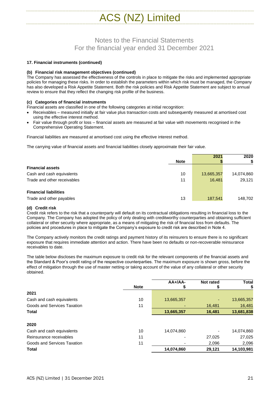### Notes to the Financial Statements For the financial year ended 31 December 2021

#### **17. Financial instruments (continued)**

#### **(b) Financial risk management objectives (continued)**

The Company has assessed the effectiveness of the controls in place to mitigate the risks and implemented appropriate policies for managing these risks. In order to establish the parameters within which risk must be managed, the Company has also developed a Risk Appetite Statement. Both the risk policies and Risk Appetite Statement are subject to annual review to ensure that they reflect the changing risk profile of the business.

#### **(c) Categories of financial instruments**

Financial assets are classified in one of the following categories at initial recognition:

- Receivables measured initially at fair value plus transaction costs and subsequently measured at amortised cost using the effective interest method.
- Fair value through profit or loss financial assets are measured at fair value with movements recognised in the Comprehensive Operating Statement.

Financial liabilities are measured at amortised cost using the effective interest method.

The carrying value of financial assets and financial liabilities closely approximate their fair value.

|                              |             | 2021       | 2020       |
|------------------------------|-------------|------------|------------|
|                              | <b>Note</b> |            |            |
| <b>Financial assets</b>      |             |            |            |
| Cash and cash equivalents    | 10          | 13,665,357 | 14,074,860 |
| Trade and other receivables  | 11          | 16.481     | 29.121     |
| <b>Financial liabilities</b> |             |            |            |
| Trade and other payables     | 13          | 187,541    | 148.702    |

#### **(d) Credit risk**

Credit risk refers to the risk that a counterparty will default on its contractual obligations resulting in financial loss to the Company. The Company has adopted the policy of only dealing with creditworthy counterparties and obtaining sufficient collateral or other security where appropriate, as a means of mitigating the risk of financial loss from defaults. The policies and procedures in place to mitigate the Company's exposure to credit risk are described in Note 4.

The Company actively monitors the credit ratings and payment history of its reinsurers to ensure there is no significant exposure that requires immediate attention and action. There have been no defaults or non-recoverable reinsurance receivables to date.

The table below discloses the maximum exposure to credit risk for the relevant components of the financial assets and the Standard & Poor's credit rating of the respective counterparties. The maximum exposure is shown gross, before the effect of mitigation through the use of master netting or taking account of the value of any collateral or other security obtained.

|                             |             | AA+/AA-    | <b>Not rated</b> | <b>Total</b> |
|-----------------------------|-------------|------------|------------------|--------------|
|                             | <b>Note</b> | Φ          |                  | \$           |
| 2021                        |             |            |                  |              |
| Cash and cash equivalents   | 10          | 13,665,357 |                  | 13,665,357   |
| Goods and Services Taxation | 11          |            | 16.481           | 16,481       |
| <b>Total</b>                |             | 13,665,357 | 16,481           | 13,681,838   |
| 2020                        |             |            |                  |              |
| Cash and cash equivalents   | 10          | 14,074,860 |                  | 14,074,860   |
| Reinsurance receivables     | 11          |            | 27,025           | 27,025       |
| Goods and Services Taxation | 11          |            | 2,096            | 2,096        |
| <b>Total</b>                |             | 14,074,860 | 29,121           | 14,103,981   |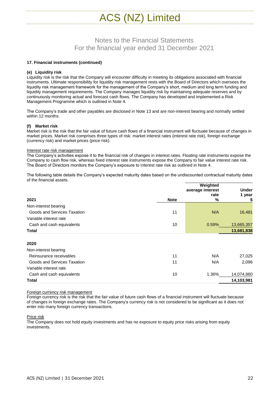### Notes to the Financial Statements For the financial year ended 31 December 2021

#### **17. Financial instruments (continued)**

#### **(e) Liquidity risk**

Liquidity risk is the risk that the Company will encounter difficulty in meeting its obligations associated with financial instruments. Ultimate responsibility for liquidity risk management rests with the Board of Directors which oversees the liquidity risk management framework for the management of the Company's short, medium and long term funding and liquidity management requirements. The Company manages liquidity risk by maintaining adequate reserves and by continuously monitoring actual and forecast cash flows. The Company has developed and implemented a Risk Management Programme which is outlined in Note 4.

The Company's trade and other payables are disclosed in Note 13 and are non-interest bearing and normally settled within 12 months.

#### **(f) Market risk**

Market risk is the risk that the fair value of future cash flows of a financial instrument will fluctuate because of changes in market prices. Market risk comprises three types of risk: market interest rates (interest rate risk), foreign exchange (currency risk) and market prices (price risk).

#### Interest rate risk management

The Company's activities expose it to the financial risk of changes in interest rates. Floating rate instruments expose the Company to cash flow risk, whereas fixed interest rate instruments expose the Company to fair value interest rate risk. The Board of Directors monitors the Company's exposure to interest rate risk as outlined in Note 4.

The following table details the Company's expected maturity dates based on the undiscounted contractual maturity dates of the financial assets.

|                             |             | Weighted<br>average interest<br>rate | <b>Under</b><br>1 year |
|-----------------------------|-------------|--------------------------------------|------------------------|
| 2021                        | <b>Note</b> | %                                    | \$                     |
| Non-interest bearing        |             |                                      |                        |
| Goods and Services Taxation | 11          | N/A                                  | 16,481                 |
| Variable interest rate      |             |                                      |                        |
| Cash and cash equivalents   | 10          | 0.59%                                | 13,665,357             |
| Total                       |             |                                      | 13,681,838             |
| 2020                        |             |                                      |                        |
| Non-interest bearing        |             |                                      |                        |
| Reinsurance receivables     | 11          | N/A                                  | 27,025                 |
| Goods and Services Taxation | 11          | N/A                                  | 2,096                  |
| Variable interest rate      |             |                                      |                        |
| Cash and cash equivalents   | 10          | 1.36%                                | 14,074,860             |
| Total                       |             |                                      | 14,103,981             |

#### Foreign currency risk management

Foreign currency risk is the risk that the fair value of future cash flows of a financial instrument will fluctuate because of changes in foreign exchange rates. The Company's currency risk is not considered to be significant as it does not enter into many foreign currency transactions.

Price risk

The Company does not hold equity investments and has no exposure to equity price risks arising from equity investments.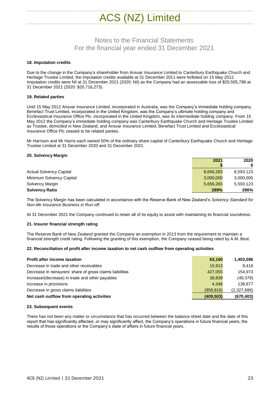### Notes to the Financial Statements For the financial year ended 31 December 2021

#### **18. Imputation credits**

Due to the change in the Company's shareholder from Ansvar Insurance Limited to Canterbury Earthquake Church and Heritage Trustee Limited, the imputation credits available at 31 December 2011 were forfeited on 15 May 2012. Imputation credits were Nil at 31 December 2021 (2020: Nil) as the Company had an assessable loss of \$20,505,798 at 31 December 2021 (2020: \$20,716,273).

#### **19. Related parties**

Until 15 May 2012 Ansvar Insurance Limited, incorporated in Australia, was the Company's immediate holding company, Benefact Trust Limited, incorporated in the United Kingdom, was the Company's ultimate holding company and Ecclesiastical Insurance Office Plc, incorporated in the United Kingdom, was its intermediate holding company. From 15 May 2012 the Company's immediate holding company was Canterbury Earthquake Church and Heritage Trustee Limited as Trustee, domiciled in New Zealand, and Ansvar Insurance Limited, Benefact Trust Limited and Ecclesiastical Insurance Office Plc ceased to be related parties.

Mr Harrison and Mr Harris each owned 50% of the ordinary share capital of Canterbury Earthquake Church and Heritage Trustee Limited at 31 December 2020 and 31 December 2021.

#### **20. Solvency Margin**

|                                | 2021      | 2020      |
|--------------------------------|-----------|-----------|
|                                |           |           |
| <b>Actual Solvency Capital</b> | 8,656,283 | 8,593,123 |
| Minimum Solvency Capital       | 3,000,000 | 3,000,000 |
| Solvency Margin                | 5,656,283 | 5,593,123 |
| <b>Solvency Ratio</b>          | 289%      | 286%      |

The Solvency Margin has been calculated in accordance with the Reserve Bank of New Zealand's *Solvency Standard for Non-life Insurance Business in Run-off*.

At 31 December 2021 the Company continued to retain all of its equity to assist with maintaining its financial soundness.

#### **21. Insurer financial strength rating**

The Reserve Bank of New Zealand granted the Company an exemption in 2013 from the requirement to maintain a financial strength credit rating. Following the granting of this exemption, the Company ceased being rated by A.M. Best.

#### **22. Reconciliation of profit after income taxation to net cash outflow from operating activities**

| <b>Profit after income taxation</b>                       | 63,160     | 1,403,596   |
|-----------------------------------------------------------|------------|-------------|
| Decrease in trade and other receivables                   | 15.913     | 9.416       |
| Decrease in reinsurers' share of gross claims liabilities | 427,055    | 154.973     |
| Increase/(decrease) in trade and other payables           | 38,839     | (49,379)    |
| Increase in provisions                                    | 4.346      | 138.677     |
| Decrease in gross claims liabilities                      | (958, 816) | (2,327,686) |
| Net cash outflow from operating activities                | (409, 503) | (670, 403)  |

#### **23. Subsequent events**

There has not been any matter or circumstance that has occurred between the balance sheet date and the date of this report that has significantly affected, or may significantly affect, the Company's operations in future financial years, the results of those operations or the Company's state of affairs in future financial years.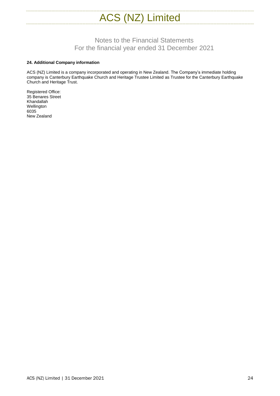### Notes to the Financial Statements For the financial year ended 31 December 2021

#### **24. Additional Company information**

ACS (NZ) Limited is a company incorporated and operating in New Zealand. The Company's immediate holding company is Canterbury Earthquake Church and Heritage Trustee Limited as Trustee for the Canterbury Earthquake Church and Heritage Trust.

Registered Office: 35 Benares Street Khandallah Wellington 6035 New Zealand